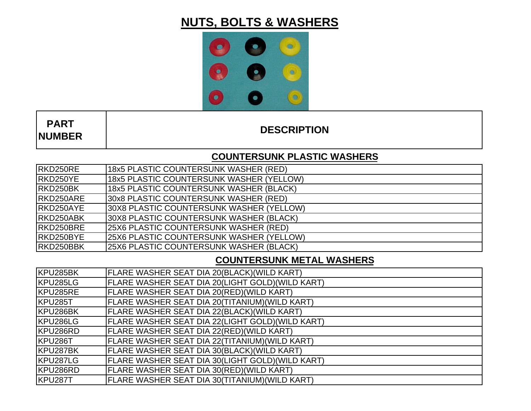# **NUTS, BOLTS & WASHERS**



 **PARTNUMBER**

**DESCRIPTION**

## **COUNTERSUNK PLASTIC WASHERS**

| RKD250RE  | 18x5 PLASTIC COUNTERSUNK WASHER (RED)        |
|-----------|----------------------------------------------|
| RKD250YE  | 18x5 PLASTIC COUNTERSUNK WASHER (YELLOW)     |
| RKD250BK  | 18x5 PLASTIC COUNTERSUNK WASHER (BLACK)      |
| RKD250ARE | 30x8 PLASTIC COUNTERSUNK WASHER (RED)        |
| RKD250AYE | 30X8 PLASTIC COUNTERSUNK WASHER (YELLOW)     |
| RKD250ABK | 30X8 PLASTIC COUNTERSUNK WASHER (BLACK)      |
| RKD250BRE | <b>25X6 PLASTIC COUNTERSUNK WASHER (RED)</b> |
| RKD250BYE | 25X6 PLASTIC COUNTERSUNK WASHER (YELLOW)     |
| RKD250BBK | 25X6 PLASTIC COUNTERSUNK WASHER (BLACK)      |

## **COUNTERSUNK METAL WASHERS**

| KPU285BK | FLARE WASHER SEAT DIA 20(BLACK)(WILD KART)       |
|----------|--------------------------------------------------|
| KPU285LG | FLARE WASHER SEAT DIA 20(LIGHT GOLD)(WILD KART)  |
| KPU285RE | FLARE WASHER SEAT DIA 20(RED)(WILD KART)         |
| KPU285T  | FLARE WASHER SEAT DIA 20(TITANIUM)(WILD KART)    |
| KPU286BK | FLARE WASHER SEAT DIA 22(BLACK)(WILD KART)       |
| KPU286LG | FLARE WASHER SEAT DIA 22(LIGHT GOLD)(WILD KART)  |
| KPU286RD | FLARE WASHER SEAT DIA 22(RED)(WILD KART)         |
| KPU286T  | FLARE WASHER SEAT DIA 22(TITANIUM)(WILD KART)    |
| KPU287BK | FLARE WASHER SEAT DIA 30(BLACK)(WILD KART)       |
| KPU287LG | FLARE WASHER SEAT DIA 30(LIGHT GOLD) (WILD KART) |
| KPU286RD | FLARE WASHER SEAT DIA 30(RED)(WILD KART)         |
| KPU287T  | FLARE WASHER SEAT DIA 30(TITANIUM)(WILD KART)    |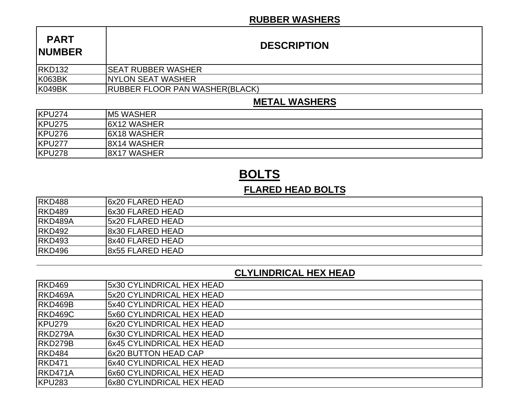#### **RUBBER WASHERS**

| <b>PART</b><br><b>NUMBER</b> | <b>DESCRIPTION</b>                    |
|------------------------------|---------------------------------------|
| <b>RKD132</b>                | <b>SEAT RUBBER WASHER</b>             |
| <b>K063BK</b>                | <b>INYLON SEAT WASHER</b>             |
| <b>K049BK</b>                | <b>RUBBER FLOOR PAN WASHER(BLACK)</b> |

#### **METAL WASHERS**

| KPU274 | <b>M5 WASHER</b>    |
|--------|---------------------|
| KPU275 | <b>I6X12 WASHER</b> |
| KPU276 | <b>I6X18 WASHER</b> |
| KPU277 | <b>8X14 WASHER</b>  |
| KPU278 | 8X17 WASHER         |

# **BOLTS**

### **FLARED HEAD BOLTS**

| RKD488        | <b>6x20 FLARED HEAD</b>  |
|---------------|--------------------------|
| <b>RKD489</b> | <b>6x30 FLARED HEAD</b>  |
| RKD489A       | <b>15x20 FLARED HEAD</b> |
| <b>RKD492</b> | 18x30 FLARED HEAD        |
| <b>RKD493</b> | 8x40 FLARED HEAD         |
| <b>RKD496</b> | 18x55 FLARED HEAD        |

#### **CLYLINDRICAL HEX HEAD**

| <b>RKD469</b> | 5x30 CYLINDRICAL HEX HEAD |
|---------------|---------------------------|
| RKD469A       | 5x20 CYLINDRICAL HEX HEAD |
| RKD469B       | 5x40 CYLINDRICAL HEX HEAD |
| RKD469C       | 5x60 CYLINDRICAL HEX HEAD |
| <b>KPU279</b> | 6x20 CYLINDRICAL HEX HEAD |
| RKD279A       | 6x30 CYLINDRICAL HEX HEAD |
| RKD279B       | 6x45 CYLINDRICAL HEX HEAD |
| RKD484        | l6x20 BUTTON HEAD CAP     |
| <b>RKD471</b> | 6x40 CYLINDRICAL HEX HEAD |
| RKD471A       | 6x60 CYLINDRICAL HEX HEAD |
| <b>KPU283</b> | 6x80 CYLINDRICAL HEX HEAD |